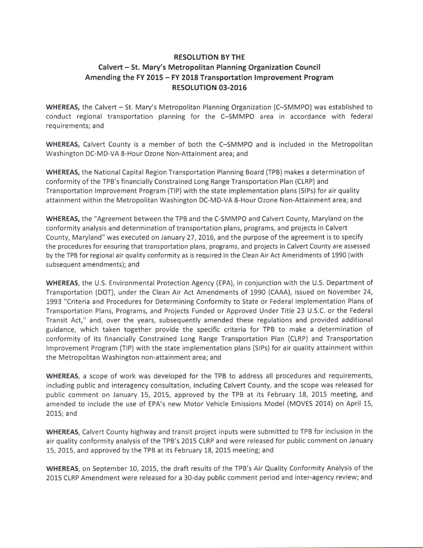## RESOLUTION BYTHE Calvert - St. Mary's Metropolitan Planning Organization Council Amending the FY 2015 - FY 2018 Transportation lmprovement Program RESOLUTION 03-2016

WHEREAS, the Calvert - St. Mary's Metropolitan Planning Organization (C-SMMPO) was established to conduct regional transportation planning for the C-SMMPO area in accordance with federal requirements; and

WHEREAS, Calvert County is a member of both the C-SMMPO and is included in the Metropolitan Washington DC-MD-VA 8-Hour Ozone Non-Attainment area; and

WHEREAS, the National Capital Region Transportation Planning Board (TPB) makes a determination of conformity of the TPB's financially Constrained Long Range Transportation Plan (CLRP) and Transportation lmprovement Program (TlP) with the state implementation plans (SlPs) for air quality attainment within the Metropolitan Washington DC-MD-VA 8-Hour Ozone Non-Attainment area; and

WHEREAS, the "Agreement between the TPB and the C-SMMPO and Calvert County, Maryland on the conformity analysis and determination of transportation plans, programs, and projects in Calvert County, Maryland" was executed on January 27,20L6, and the purpose ofthe agreement is to specify the procedures for ensuring that transportation plans, programs, and projects in Calvert County are assessed by the TPB for regional air quality conformity as is required in the Clean Air Act Amendments of 1990 {with subsequent amendments); and

WHEREAS, the U.S. Environmental Protection Agency (EPA), in conjunction with the U.S. Department of Transportation (DOT), under the Clean Air Act Amendments of 1990 (CAAA), issued on November 24, 1993 "Criteria and Procedures for Determining Conformity to State or Federal lmplementation Plans of Transportation Plans, Programs, and Projects Funded or Approved Under Title 23 U.S.C. or the Federal Transit Act," and, over the years, subsequently amended these regulations and provided additional guidance, which taken together provide the specific criteria for TPB to make a determination of conformity of its financially Constrained Long Range Transportation Plan (CLRP) and Transportation lmprovement Program (TlP) with the state implementation plans (SlPs) for air quality attainment within the Metropolitan Washington non-attainment area; and

WHEREAS, a scope of work was developed for the TPB to address all procedures and requirements, including public and interagency consultation, including Calvert County, and the scope was released for public comment on January 15, 2015, approved by the TPB at its February 18, 2015 meeting, and amended to include the use of EPA's new Motor Vehicle Emissions Model (MOVES 2014) on April 15, 2015, and

WHEREAS, Calvert County highway and transit project inputs were submitted to TPB for inclusion in the air quality conformity analysis of the TPB's 2015 CLRP and were released for public comment on January 15, 2015, and approved by the TPB at its February 18, 2015 meeting; and

WHEREAS, on September 10, 2015, the draft results of the TPB's Air Quality Conformity Analysis of the 2015 CLRP Amendment were released for a 30-day public comment period and inter-agency review; and